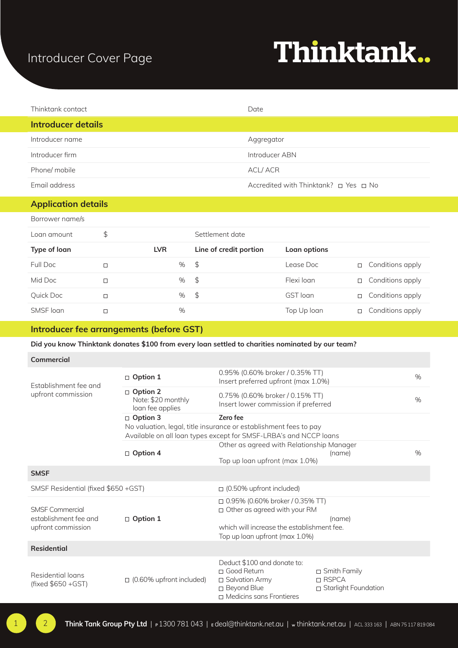### Introducer Cover Page

## Thinktank..

| Thinktank contact  | Date                                            |
|--------------------|-------------------------------------------------|
| Introducer details |                                                 |
| Introducer name    | Aggregator                                      |
| Introducer firm    | Introducer ABN                                  |
| Phone/ mobile      | <b>ACL/ACR</b>                                  |
| Email address      | Accredited with Thinktank? $\Box$ Yes $\Box$ No |

#### **Application details**

| Borrower name/s |        |            |   |                        |              |        |                  |
|-----------------|--------|------------|---|------------------------|--------------|--------|------------------|
| Loan amount     | \$     |            |   | Settlement date        |              |        |                  |
| Type of loan    |        | <b>LVR</b> |   | Line of credit portion | Loan options |        |                  |
| Full Doc        | П      |            | % | $\mathfrak{S}$         | Lease Doc    | $\Box$ | Conditions apply |
| Mid Doc         | □      |            | % | $\sqrt{5}$             | Flexi loan   | □      | Conditions apply |
| Quick Doc       | $\Box$ |            | % | $\sqrt{5}$             | GST loan     | п      | Conditions apply |
| SMSF loan       |        |            | % |                        | Top Up Ioan  | □      | Conditions apply |

#### **Introducer fee arrangements (before GST)**

#### **Did you know Thinktank donates \$100 from every loan settled to charities nominated by our team?**

| Commercial |  |
|------------|--|
|            |  |

| Establishment fee and<br>upfront commission                           | $\Box$ Option 1                                           | 0.95% (0.60% broker / 0.35% TT)<br>Insert preferred upfront (max 1.0%)                                                                                        |                                                          | $\%$ |
|-----------------------------------------------------------------------|-----------------------------------------------------------|---------------------------------------------------------------------------------------------------------------------------------------------------------------|----------------------------------------------------------|------|
|                                                                       | $\Box$ Option 2<br>Note: \$20 monthly<br>loan fee applies | 0.75% (0.60% broker / 0.15% TT)<br>Insert lower commission if preferred                                                                                       |                                                          | $\%$ |
|                                                                       | $\Box$ Option 3                                           | Zero fee<br>No valuation, legal, title insurance or establishment fees to pay<br>Available on all loan types except for SMSF-LRBA's and NCCP loans            |                                                          |      |
|                                                                       | $\Box$ Option 4                                           | Other as agreed with Relationship Manager<br>Top up loan upfront (max 1.0%)                                                                                   | (name)                                                   | $\%$ |
| <b>SMSF</b>                                                           |                                                           |                                                                                                                                                               |                                                          |      |
| SMSF Residential (fixed \$650 +GST)                                   |                                                           | $\Box$ (0.50% upfront included)                                                                                                                               |                                                          |      |
| <b>SMSF Commercial</b><br>establishment fee and<br>upfront commission | $\Box$ Option 1                                           | $\Box$ 0.95% (0.60% broker / 0.35% TT)<br>$\Box$ Other as agreed with your RM<br>which will increase the establishment fee.<br>Top up loan upfront (max 1.0%) | (name)                                                   |      |
| <b>Residential</b>                                                    |                                                           |                                                                                                                                                               |                                                          |      |
| Residential loans<br>(fixed \$650 + GST)                              | $\Box$ (0.60% upfront included)                           | Deduct \$100 and donate to:<br>□ Good Return<br>□ Salvation Army<br>□ Beyond Blue<br>□ Medicins sans Frontieres                                               | $\Box$ Smith Family<br>□ RSPCA<br>□ Starlight Foundation |      |